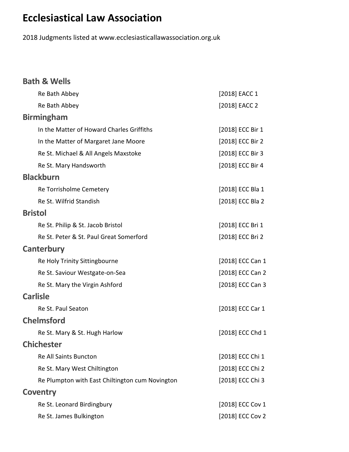## **Ecclesiastical Law Association**

2018 Judgments listed at www.ecclesiasticallawassociation.org.uk

| <b>Bath &amp; Wells</b>                         |                  |
|-------------------------------------------------|------------------|
| Re Bath Abbey                                   | [2018] EACC 1    |
| Re Bath Abbey                                   | [2018] EACC 2    |
| <b>Birmingham</b>                               |                  |
| In the Matter of Howard Charles Griffiths       | [2018] ECC Bir 1 |
| In the Matter of Margaret Jane Moore            | [2018] ECC Bir 2 |
| Re St. Michael & All Angels Maxstoke            | [2018] ECC Bir 3 |
| Re St. Mary Handsworth                          | [2018] ECC Bir 4 |
| <b>Blackburn</b>                                |                  |
| Re Torrisholme Cemetery                         | [2018] ECC Bla 1 |
| Re St. Wilfrid Standish                         | [2018] ECC Bla 2 |
| <b>Bristol</b>                                  |                  |
| Re St. Philip & St. Jacob Bristol               | [2018] ECC Bri 1 |
| Re St. Peter & St. Paul Great Somerford         | [2018] ECC Bri 2 |
| Canterbury                                      |                  |
| Re Holy Trinity Sittingbourne                   | [2018] ECC Can 1 |
| Re St. Saviour Westgate-on-Sea                  | [2018] ECC Can 2 |
| Re St. Mary the Virgin Ashford                  | [2018] ECC Can 3 |
| <b>Carlisle</b>                                 |                  |
| Re St. Paul Seaton                              | [2018] ECC Car 1 |
| <b>Chelmsford</b>                               |                  |
| Re St. Mary & St. Hugh Harlow                   | [2018] ECC Chd 1 |
| <b>Chichester</b>                               |                  |
| Re All Saints Buncton                           | [2018] ECC Chi 1 |
| Re St. Mary West Chiltington                    | [2018] ECC Chi 2 |
| Re Plumpton with East Chiltington cum Novington | [2018] ECC Chi 3 |
| <b>Coventry</b>                                 |                  |
| Re St. Leonard Birdingbury                      | [2018] ECC Cov 1 |
| Re St. James Bulkington                         | [2018] ECC Cov 2 |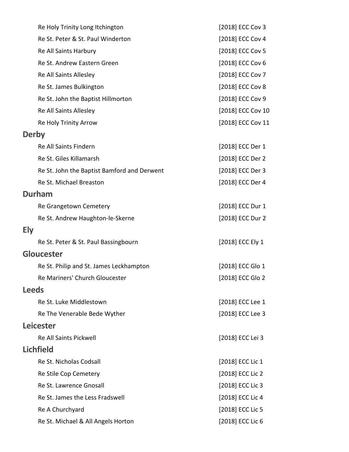|            | Re Holy Trinity Long Itchington             | [2018] ECC Cov 3  |
|------------|---------------------------------------------|-------------------|
|            | Re St. Peter & St. Paul Winderton           | [2018] ECC Cov 4  |
|            | Re All Saints Harbury                       | [2018] ECC Cov 5  |
|            | Re St. Andrew Eastern Green                 | [2018] ECC Cov 6  |
|            | Re All Saints Allesley                      | [2018] ECC Cov 7  |
|            | Re St. James Bulkington                     | [2018] ECC Cov 8  |
|            | Re St. John the Baptist Hillmorton          | [2018] ECC Cov 9  |
|            | Re All Saints Allesley                      | [2018] ECC Cov 10 |
|            | Re Holy Trinity Arrow                       | [2018] ECC Cov 11 |
|            | <b>Derby</b>                                |                   |
|            | Re All Saints Findern                       | [2018] ECC Der 1  |
|            | Re St. Giles Killamarsh                     | [2018] ECC Der 2  |
|            | Re St. John the Baptist Bamford and Derwent | [2018] ECC Der 3  |
|            | Re St. Michael Breaston                     | [2018] ECC Der 4  |
|            | <b>Durham</b>                               |                   |
|            | Re Grangetown Cemetery                      | [2018] ECC Dur 1  |
|            | Re St. Andrew Haughton-le-Skerne            | [2018] ECC Dur 2  |
| <b>Ely</b> |                                             |                   |
|            | Re St. Peter & St. Paul Bassingbourn        | [2018] ECC Ely 1  |
|            | <b>Gloucester</b>                           |                   |
|            | Re St. Philip and St. James Leckhampton     | [2018] ECC Glo 1  |
|            | Re Mariners' Church Gloucester              | [2018] ECC Glo 2  |
|            | <b>Leeds</b>                                |                   |
|            | Re St. Luke Middlestown                     | [2018] ECC Lee 1  |
|            | Re The Venerable Bede Wyther                | [2018] ECC Lee 3  |
|            | <b>Leicester</b>                            |                   |
|            | Re All Saints Pickwell                      | [2018] ECC Lei 3  |
|            | <b>Lichfield</b>                            |                   |
|            | Re St. Nicholas Codsall                     | [2018] ECC Lic 1  |
|            | Re Stile Cop Cemetery                       | [2018] ECC Lic 2  |
|            | Re St. Lawrence Gnosall                     | [2018] ECC Lic 3  |
|            | Re St. James the Less Fradswell             | [2018] ECC Lic 4  |
|            | Re A Churchyard                             | [2018] ECC Lic 5  |
|            | Re St. Michael & All Angels Horton          | [2018] ECC Lic 6  |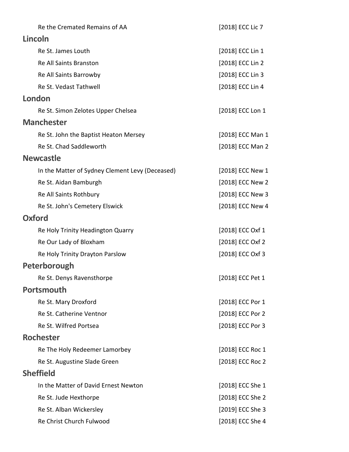| Re the Cremated Remains of AA                   | [2018] ECC Lic 7 |
|-------------------------------------------------|------------------|
| Lincoln                                         |                  |
| Re St. James Louth                              | [2018] ECC Lin 1 |
| Re All Saints Branston                          | [2018] ECC Lin 2 |
| Re All Saints Barrowby                          | [2018] ECC Lin 3 |
| Re St. Vedast Tathwell                          | [2018] ECC Lin 4 |
| London                                          |                  |
| Re St. Simon Zelotes Upper Chelsea              | [2018] ECC Lon 1 |
| <b>Manchester</b>                               |                  |
| Re St. John the Baptist Heaton Mersey           | [2018] ECC Man 1 |
| Re St. Chad Saddleworth                         | [2018] ECC Man 2 |
| <b>Newcastle</b>                                |                  |
| In the Matter of Sydney Clement Levy (Deceased) | [2018] ECC New 1 |
| Re St. Aidan Bamburgh                           | [2018] ECC New 2 |
| Re All Saints Rothbury                          | [2018] ECC New 3 |
| Re St. John's Cemetery Elswick                  | [2018] ECC New 4 |
| <b>Oxford</b>                                   |                  |
| Re Holy Trinity Headington Quarry               | [2018] ECC Oxf 1 |
| Re Our Lady of Bloxham                          | [2018] ECC Oxf 2 |
| Re Holy Trinity Drayton Parslow                 | [2018] ECC Oxf 3 |
| Peterborough                                    |                  |
| Re St. Denys Ravensthorpe                       | [2018] ECC Pet 1 |
| <b>Portsmouth</b>                               |                  |
| Re St. Mary Droxford                            | [2018] ECC Por 1 |
| Re St. Catherine Ventnor                        | [2018] ECC Por 2 |
| Re St. Wilfred Portsea                          | [2018] ECC Por 3 |
| <b>Rochester</b>                                |                  |
| Re The Holy Redeemer Lamorbey                   | [2018] ECC Roc 1 |
| Re St. Augustine Slade Green                    | [2018] ECC Roc 2 |
| <b>Sheffield</b>                                |                  |
| In the Matter of David Ernest Newton            | [2018] ECC She 1 |
| Re St. Jude Hexthorpe                           | [2018] ECC She 2 |
| Re St. Alban Wickersley                         | [2019] ECC She 3 |
| Re Christ Church Fulwood                        | [2018] ECC She 4 |